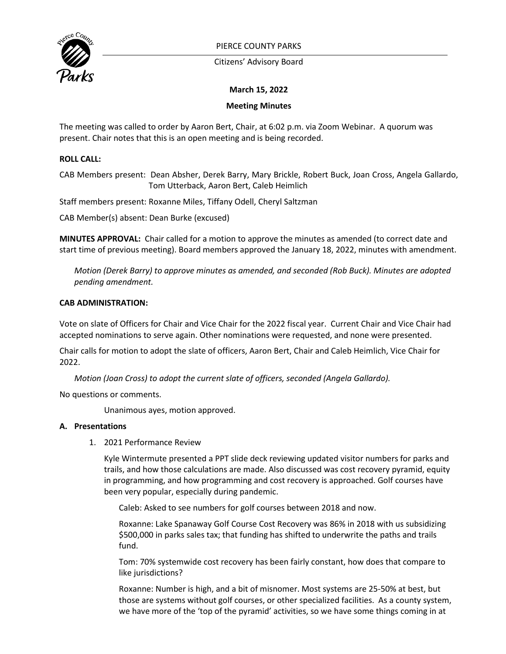

PIERCE COUNTY PARKS

Citizens' Advisory Board

# **March 15, 2022**

# **Meeting Minutes**

The meeting was called to order by Aaron Bert, Chair, at 6:02 p.m. via Zoom Webinar. A quorum was present. Chair notes that this is an open meeting and is being recorded.

# **ROLL CALL:**

CAB Members present: Dean Absher, Derek Barry, Mary Brickle, Robert Buck, Joan Cross, Angela Gallardo, Tom Utterback, Aaron Bert, Caleb Heimlich

Staff members present: Roxanne Miles, Tiffany Odell, Cheryl Saltzman

CAB Member(s) absent: Dean Burke (excused)

**MINUTES APPROVAL:** Chair called for a motion to approve the minutes as amended (to correct date and start time of previous meeting). Board members approved the January 18, 2022, minutes with amendment.

*Motion (Derek Barry) to approve minutes as amended, and seconded (Rob Buck). Minutes are adopted pending amendment.*

### **CAB ADMINISTRATION:**

Vote on slate of Officers for Chair and Vice Chair for the 2022 fiscal year. Current Chair and Vice Chair had accepted nominations to serve again. Other nominations were requested, and none were presented.

Chair calls for motion to adopt the slate of officers, Aaron Bert, Chair and Caleb Heimlich, Vice Chair for 2022.

*Motion (Joan Cross) to adopt the current slate of officers, seconded (Angela Gallardo).* 

No questions or comments.

Unanimous ayes, motion approved.

### **A. Presentations**

1. 2021 Performance Review

Kyle Wintermute presented a PPT slide deck reviewing updated visitor numbers for parks and trails, and how those calculations are made. Also discussed was cost recovery pyramid, equity in programming, and how programming and cost recovery is approached. Golf courses have been very popular, especially during pandemic.

Caleb: Asked to see numbers for golf courses between 2018 and now.

Roxanne: Lake Spanaway Golf Course Cost Recovery was 86% in 2018 with us subsidizing \$500,000 in parks sales tax; that funding has shifted to underwrite the paths and trails fund.

Tom: 70% systemwide cost recovery has been fairly constant, how does that compare to like jurisdictions?

Roxanne: Number is high, and a bit of misnomer. Most systems are 25-50% at best, but those are systems without golf courses, or other specialized facilities. As a county system, we have more of the 'top of the pyramid' activities, so we have some things coming in at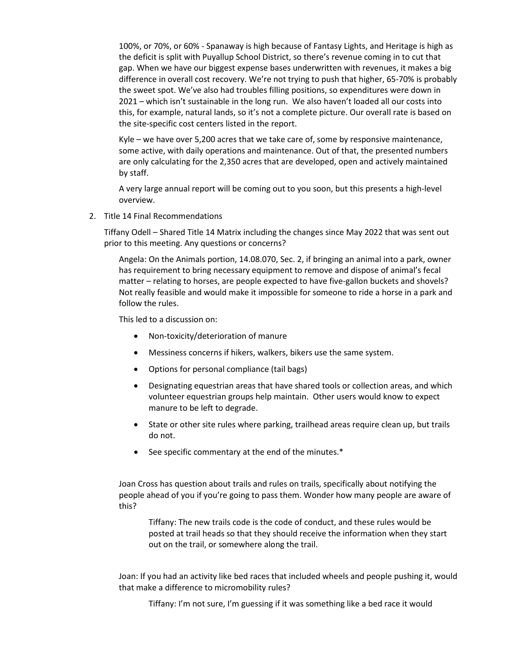100%, or 70%, or 60% - Spanaway is high because of Fantasy Lights, and Heritage is high as the deficit is split with Puyallup School District, so there's revenue coming in to cut that gap. When we have our biggest expense bases underwritten with revenues, it makes a big difference in overall cost recovery. We're not trying to push that higher, 65-70% is probably the sweet spot. We've also had troubles filling positions, so expenditures were down in 2021 – which isn't sustainable in the long run. We also haven't loaded all our costs into this, for example, natural lands, so it's not a complete picture. Our overall rate is based on the site-specific cost centers listed in the report.

Kyle – we have over 5,200 acres that we take care of, some by responsive maintenance, some active, with daily operations and maintenance. Out of that, the presented numbers are only calculating for the 2,350 acres that are developed, open and actively maintained by staff.

A very large annual report will be coming out to you soon, but this presents a high-level overview.

2. Title 14 Final Recommendations

Tiffany Odell – Shared Title 14 Matrix including the changes since May 2022 that was sent out prior to this meeting. Any questions or concerns?

Angela: On the Animals portion, 14.08.070, Sec. 2, if bringing an animal into a park, owner has requirement to bring necessary equipment to remove and dispose of animal's fecal matter – relating to horses, are people expected to have five-gallon buckets and shovels? Not really feasible and would make it impossible for someone to ride a horse in a park and follow the rules.

This led to a discussion on:

- Non-toxicity/deterioration of manure
- Messiness concerns if hikers, walkers, bikers use the same system.
- Options for personal compliance (tail bags)
- Designating equestrian areas that have shared tools or collection areas, and which volunteer equestrian groups help maintain. Other users would know to expect manure to be left to degrade.
- State or other site rules where parking, trailhead areas require clean up, but trails do not.
- See specific commentary at the end of the minutes.\*

Joan Cross has question about trails and rules on trails, specifically about notifying the people ahead of you if you're going to pass them. Wonder how many people are aware of this?

Tiffany: The new trails code is the code of conduct, and these rules would be posted at trail heads so that they should receive the information when they start out on the trail, or somewhere along the trail.

Joan: If you had an activity like bed races that included wheels and people pushing it, would that make a difference to micromobility rules?

Tiffany: I'm not sure, I'm guessing if it was something like a bed race it would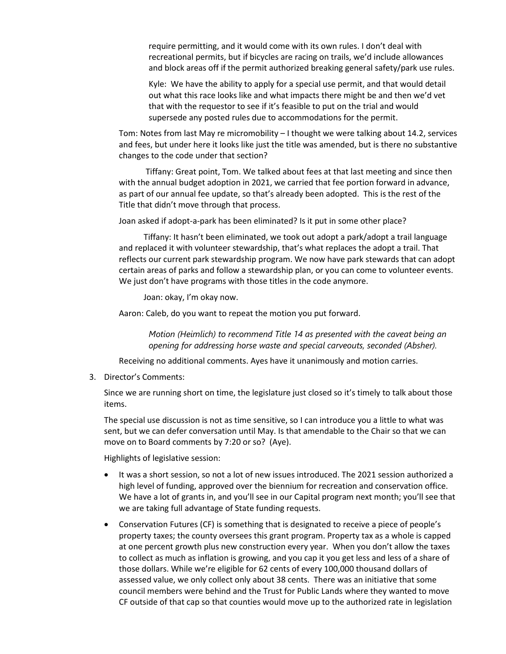require permitting, and it would come with its own rules. I don't deal with recreational permits, but if bicycles are racing on trails, we'd include allowances and block areas off if the permit authorized breaking general safety/park use rules.

Kyle: We have the ability to apply for a special use permit, and that would detail out what this race looks like and what impacts there might be and then we'd vet that with the requestor to see if it's feasible to put on the trial and would supersede any posted rules due to accommodations for the permit.

Tom: Notes from last May re micromobility – I thought we were talking about 14.2, services and fees, but under here it looks like just the title was amended, but is there no substantive changes to the code under that section?

 Tiffany: Great point, Tom. We talked about fees at that last meeting and since then with the annual budget adoption in 2021, we carried that fee portion forward in advance, as part of our annual fee update, so that's already been adopted. This is the rest of the Title that didn't move through that process.

Joan asked if adopt-a-park has been eliminated? Is it put in some other place?

 Tiffany: It hasn't been eliminated, we took out adopt a park/adopt a trail language and replaced it with volunteer stewardship, that's what replaces the adopt a trail. That reflects our current park stewardship program. We now have park stewards that can adopt certain areas of parks and follow a stewardship plan, or you can come to volunteer events. We just don't have programs with those titles in the code anymore.

Joan: okay, I'm okay now.

Aaron: Caleb, do you want to repeat the motion you put forward.

*Motion (Heimlich) to recommend Title 14 as presented with the caveat being an opening for addressing horse waste and special carveouts, seconded (Absher).*

Receiving no additional comments. Ayes have it unanimously and motion carries.

3. Director's Comments:

Since we are running short on time, the legislature just closed so it's timely to talk about those items.

The special use discussion is not as time sensitive, so I can introduce you a little to what was sent, but we can defer conversation until May. Is that amendable to the Chair so that we can move on to Board comments by 7:20 or so? (Aye).

Highlights of legislative session:

- It was a short session, so not a lot of new issues introduced. The 2021 session authorized a high level of funding, approved over the biennium for recreation and conservation office. We have a lot of grants in, and you'll see in our Capital program next month; you'll see that we are taking full advantage of State funding requests.
- Conservation Futures (CF) is something that is designated to receive a piece of people's property taxes; the county oversees this grant program. Property tax as a whole is capped at one percent growth plus new construction every year. When you don't allow the taxes to collect as much as inflation is growing, and you cap it you get less and less of a share of those dollars. While we're eligible for 62 cents of every 100,000 thousand dollars of assessed value, we only collect only about 38 cents. There was an initiative that some council members were behind and the Trust for Public Lands where they wanted to move CF outside of that cap so that counties would move up to the authorized rate in legislation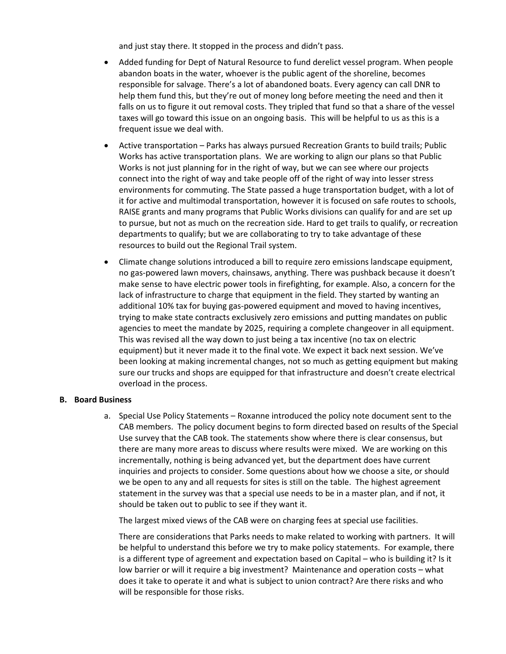and just stay there. It stopped in the process and didn't pass.

- Added funding for Dept of Natural Resource to fund derelict vessel program. When people abandon boats in the water, whoever is the public agent of the shoreline, becomes responsible for salvage. There's a lot of abandoned boats. Every agency can call DNR to help them fund this, but they're out of money long before meeting the need and then it falls on us to figure it out removal costs. They tripled that fund so that a share of the vessel taxes will go toward this issue on an ongoing basis. This will be helpful to us as this is a frequent issue we deal with.
- Active transportation Parks has always pursued Recreation Grants to build trails; Public Works has active transportation plans. We are working to align our plans so that Public Works is not just planning for in the right of way, but we can see where our projects connect into the right of way and take people off of the right of way into lesser stress environments for commuting. The State passed a huge transportation budget, with a lot of it for active and multimodal transportation, however it is focused on safe routes to schools, RAISE grants and many programs that Public Works divisions can qualify for and are set up to pursue, but not as much on the recreation side. Hard to get trails to qualify, or recreation departments to qualify; but we are collaborating to try to take advantage of these resources to build out the Regional Trail system.
- Climate change solutions introduced a bill to require zero emissions landscape equipment, no gas-powered lawn movers, chainsaws, anything. There was pushback because it doesn't make sense to have electric power tools in firefighting, for example. Also, a concern for the lack of infrastructure to charge that equipment in the field. They started by wanting an additional 10% tax for buying gas-powered equipment and moved to having incentives, trying to make state contracts exclusively zero emissions and putting mandates on public agencies to meet the mandate by 2025, requiring a complete changeover in all equipment. This was revised all the way down to just being a tax incentive (no tax on electric equipment) but it never made it to the final vote. We expect it back next session. We've been looking at making incremental changes, not so much as getting equipment but making sure our trucks and shops are equipped for that infrastructure and doesn't create electrical overload in the process.

### **B. Board Business**

a. Special Use Policy Statements – Roxanne introduced the policy note document sent to the CAB members. The policy document begins to form directed based on results of the Special Use survey that the CAB took. The statements show where there is clear consensus, but there are many more areas to discuss where results were mixed. We are working on this incrementally, nothing is being advanced yet, but the department does have current inquiries and projects to consider. Some questions about how we choose a site, or should we be open to any and all requests for sites is still on the table. The highest agreement statement in the survey was that a special use needs to be in a master plan, and if not, it should be taken out to public to see if they want it.

The largest mixed views of the CAB were on charging fees at special use facilities.

There are considerations that Parks needs to make related to working with partners. It will be helpful to understand this before we try to make policy statements. For example, there is a different type of agreement and expectation based on Capital – who is building it? Is it low barrier or will it require a big investment? Maintenance and operation costs – what does it take to operate it and what is subject to union contract? Are there risks and who will be responsible for those risks.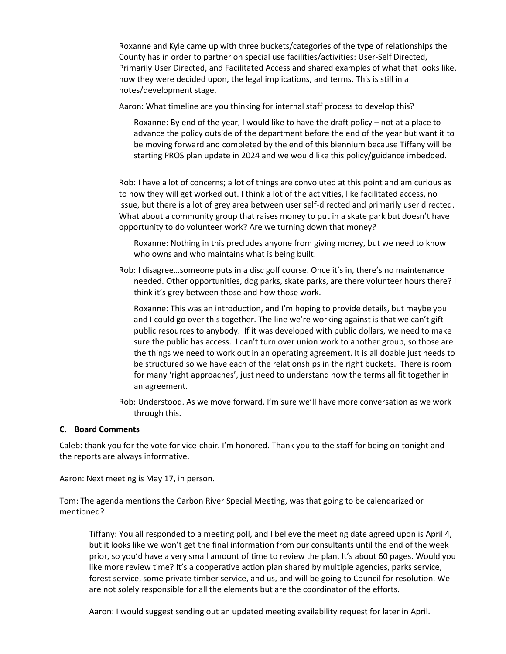Roxanne and Kyle came up with three buckets/categories of the type of relationships the County has in order to partner on special use facilities/activities: User-Self Directed, Primarily User Directed, and Facilitated Access and shared examples of what that looks like, how they were decided upon, the legal implications, and terms. This is still in a notes/development stage.

Aaron: What timeline are you thinking for internal staff process to develop this?

Roxanne: By end of the year, I would like to have the draft policy – not at a place to advance the policy outside of the department before the end of the year but want it to be moving forward and completed by the end of this biennium because Tiffany will be starting PROS plan update in 2024 and we would like this policy/guidance imbedded.

Rob: I have a lot of concerns; a lot of things are convoluted at this point and am curious as to how they will get worked out. I think a lot of the activities, like facilitated access, no issue, but there is a lot of grey area between user self-directed and primarily user directed. What about a community group that raises money to put in a skate park but doesn't have opportunity to do volunteer work? Are we turning down that money?

Roxanne: Nothing in this precludes anyone from giving money, but we need to know who owns and who maintains what is being built.

Rob: I disagree…someone puts in a disc golf course. Once it's in, there's no maintenance needed. Other opportunities, dog parks, skate parks, are there volunteer hours there? I think it's grey between those and how those work.

Roxanne: This was an introduction, and I'm hoping to provide details, but maybe you and I could go over this together. The line we're working against is that we can't gift public resources to anybody. If it was developed with public dollars, we need to make sure the public has access. I can't turn over union work to another group, so those are the things we need to work out in an operating agreement. It is all doable just needs to be structured so we have each of the relationships in the right buckets. There is room for many 'right approaches', just need to understand how the terms all fit together in an agreement.

Rob: Understood. As we move forward, I'm sure we'll have more conversation as we work through this.

### **C. Board Comments**

Caleb: thank you for the vote for vice-chair. I'm honored. Thank you to the staff for being on tonight and the reports are always informative.

Aaron: Next meeting is May 17, in person.

Tom: The agenda mentions the Carbon River Special Meeting, was that going to be calendarized or mentioned?

Tiffany: You all responded to a meeting poll, and I believe the meeting date agreed upon is April 4, but it looks like we won't get the final information from our consultants until the end of the week prior, so you'd have a very small amount of time to review the plan. It's about 60 pages. Would you like more review time? It's a cooperative action plan shared by multiple agencies, parks service, forest service, some private timber service, and us, and will be going to Council for resolution. We are not solely responsible for all the elements but are the coordinator of the efforts.

Aaron: I would suggest sending out an updated meeting availability request for later in April.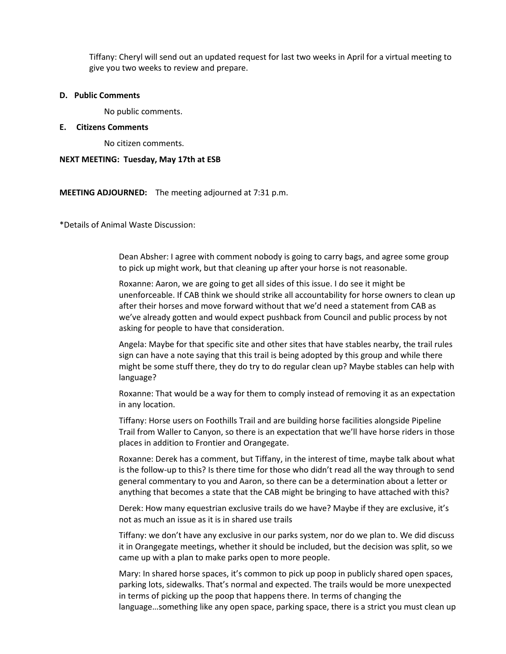Tiffany: Cheryl will send out an updated request for last two weeks in April for a virtual meeting to give you two weeks to review and prepare.

#### **D. Public Comments**

No public comments.

### **E. Citizens Comments**

No citizen comments.

#### **NEXT MEETING: Tuesday, May 17th at ESB**

**MEETING ADJOURNED:** The meeting adjourned at 7:31 p.m.

\*Details of Animal Waste Discussion:

Dean Absher: I agree with comment nobody is going to carry bags, and agree some group to pick up might work, but that cleaning up after your horse is not reasonable.

Roxanne: Aaron, we are going to get all sides of this issue. I do see it might be unenforceable. If CAB think we should strike all accountability for horse owners to clean up after their horses and move forward without that we'd need a statement from CAB as we've already gotten and would expect pushback from Council and public process by not asking for people to have that consideration.

Angela: Maybe for that specific site and other sites that have stables nearby, the trail rules sign can have a note saying that this trail is being adopted by this group and while there might be some stuff there, they do try to do regular clean up? Maybe stables can help with language?

Roxanne: That would be a way for them to comply instead of removing it as an expectation in any location.

Tiffany: Horse users on Foothills Trail and are building horse facilities alongside Pipeline Trail from Waller to Canyon, so there is an expectation that we'll have horse riders in those places in addition to Frontier and Orangegate.

Roxanne: Derek has a comment, but Tiffany, in the interest of time, maybe talk about what is the follow-up to this? Is there time for those who didn't read all the way through to send general commentary to you and Aaron, so there can be a determination about a letter or anything that becomes a state that the CAB might be bringing to have attached with this?

Derek: How many equestrian exclusive trails do we have? Maybe if they are exclusive, it's not as much an issue as it is in shared use trails

Tiffany: we don't have any exclusive in our parks system, nor do we plan to. We did discuss it in Orangegate meetings, whether it should be included, but the decision was split, so we came up with a plan to make parks open to more people.

Mary: In shared horse spaces, it's common to pick up poop in publicly shared open spaces, parking lots, sidewalks. That's normal and expected. The trails would be more unexpected in terms of picking up the poop that happens there. In terms of changing the language…something like any open space, parking space, there is a strict you must clean up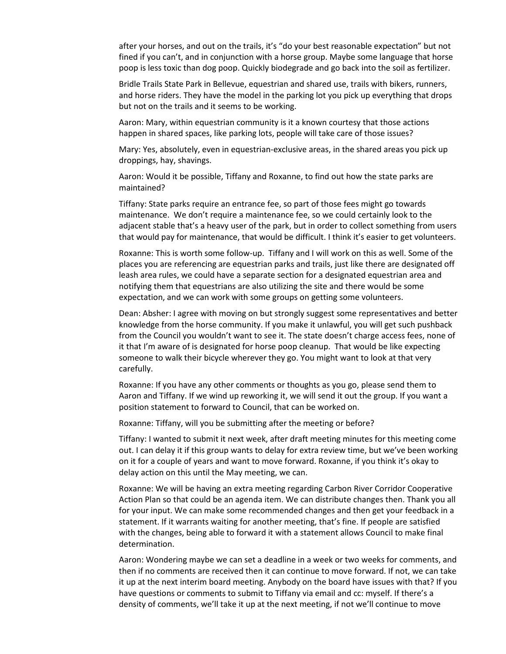after your horses, and out on the trails, it's "do your best reasonable expectation" but not fined if you can't, and in conjunction with a horse group. Maybe some language that horse poop is less toxic than dog poop. Quickly biodegrade and go back into the soil as fertilizer.

Bridle Trails State Park in Bellevue, equestrian and shared use, trails with bikers, runners, and horse riders. They have the model in the parking lot you pick up everything that drops but not on the trails and it seems to be working.

Aaron: Mary, within equestrian community is it a known courtesy that those actions happen in shared spaces, like parking lots, people will take care of those issues?

Mary: Yes, absolutely, even in equestrian-exclusive areas, in the shared areas you pick up droppings, hay, shavings.

Aaron: Would it be possible, Tiffany and Roxanne, to find out how the state parks are maintained?

Tiffany: State parks require an entrance fee, so part of those fees might go towards maintenance. We don't require a maintenance fee, so we could certainly look to the adjacent stable that's a heavy user of the park, but in order to collect something from users that would pay for maintenance, that would be difficult. I think it's easier to get volunteers.

Roxanne: This is worth some follow-up. Tiffany and I will work on this as well. Some of the places you are referencing are equestrian parks and trails, just like there are designated off leash area rules, we could have a separate section for a designated equestrian area and notifying them that equestrians are also utilizing the site and there would be some expectation, and we can work with some groups on getting some volunteers.

Dean: Absher: I agree with moving on but strongly suggest some representatives and better knowledge from the horse community. If you make it unlawful, you will get such pushback from the Council you wouldn't want to see it. The state doesn't charge access fees, none of it that I'm aware of is designated for horse poop cleanup. That would be like expecting someone to walk their bicycle wherever they go. You might want to look at that very carefully.

Roxanne: If you have any other comments or thoughts as you go, please send them to Aaron and Tiffany. If we wind up reworking it, we will send it out the group. If you want a position statement to forward to Council, that can be worked on.

Roxanne: Tiffany, will you be submitting after the meeting or before?

Tiffany: I wanted to submit it next week, after draft meeting minutes for this meeting come out. I can delay it if this group wants to delay for extra review time, but we've been working on it for a couple of years and want to move forward. Roxanne, if you think it's okay to delay action on this until the May meeting, we can.

Roxanne: We will be having an extra meeting regarding Carbon River Corridor Cooperative Action Plan so that could be an agenda item. We can distribute changes then. Thank you all for your input. We can make some recommended changes and then get your feedback in a statement. If it warrants waiting for another meeting, that's fine. If people are satisfied with the changes, being able to forward it with a statement allows Council to make final determination.

Aaron: Wondering maybe we can set a deadline in a week or two weeks for comments, and then if no comments are received then it can continue to move forward. If not, we can take it up at the next interim board meeting. Anybody on the board have issues with that? If you have questions or comments to submit to Tiffany via email and cc: myself. If there's a density of comments, we'll take it up at the next meeting, if not we'll continue to move